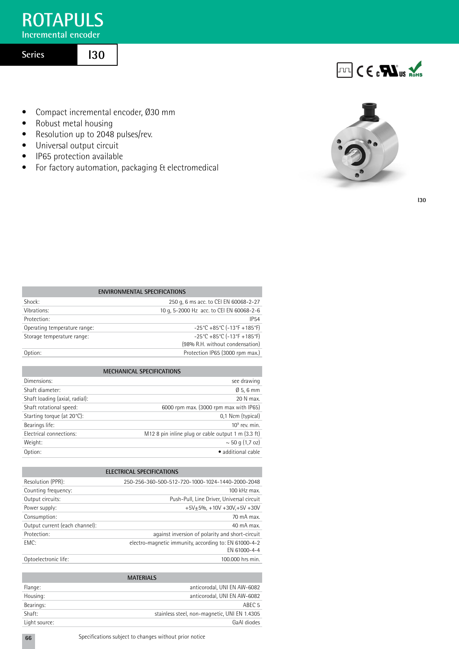# **ROTAPULS**

**Incremental encoder** 

# **Series**

**I30**

- Compact incremental encoder, Ø30 mm
- Robust metal housing
- Resolution up to 2048 pulses/rev.
- Universal output circuit
- IP65 protection available
- For factory automation, packaging & electromedical





**I30**

| <b>ENVIRONMENTAL SPECIFICATIONS</b>                                   |  |  |  |  |  |  |  |
|-----------------------------------------------------------------------|--|--|--|--|--|--|--|
| 250 g, 6 ms acc. to CEI EN 60068-2-27                                 |  |  |  |  |  |  |  |
| 10 g, 5-2000 Hz acc. to CEI EN 60068-2-6                              |  |  |  |  |  |  |  |
| <b>IP54</b>                                                           |  |  |  |  |  |  |  |
| $-25^{\circ}$ C +85 $^{\circ}$ C (-13 $^{\circ}$ F +185 $^{\circ}$ F) |  |  |  |  |  |  |  |
| $-25^{\circ}$ C +85 $^{\circ}$ C (-13 $^{\circ}$ F +185 $^{\circ}$ F) |  |  |  |  |  |  |  |
| (98% R.H. without condensation)                                       |  |  |  |  |  |  |  |
| Protection IP65 (3000 rpm max.)                                       |  |  |  |  |  |  |  |
|                                                                       |  |  |  |  |  |  |  |

| <b>MECHANICAL SPECIFICATIONS</b> |                                                    |  |  |  |  |  |
|----------------------------------|----------------------------------------------------|--|--|--|--|--|
| Dimensions:                      | see drawing                                        |  |  |  |  |  |
| Shaft diameter:                  | $\varnothing$ 5, 6 mm                              |  |  |  |  |  |
| Shaft loading (axial, radial):   | 20 N max.                                          |  |  |  |  |  |
| Shaft rotational speed:          | 6000 rpm max. (3000 rpm max with IP65)             |  |  |  |  |  |
| Starting torque (at 20°C):       | 0,1 Ncm (typical)                                  |  |  |  |  |  |
| Bearings life:                   | $10^9$ rev. min.                                   |  |  |  |  |  |
| Electrical connections:          | M12 8 pin inline plug or cable output 1 m (3.3 ft) |  |  |  |  |  |
| Weight:                          | $\sim$ 50 g (1,7 oz)                               |  |  |  |  |  |
| Option:                          | • additional cable                                 |  |  |  |  |  |
|                                  |                                                    |  |  |  |  |  |

| <b>ELECTRICAL SPECIFICATIONS</b> |                                                       |  |  |  |  |  |  |
|----------------------------------|-------------------------------------------------------|--|--|--|--|--|--|
| Resolution (PPR):                | 250-256-360-500-512-720-1000-1024-1440-2000-2048      |  |  |  |  |  |  |
| Counting frequency:              | 100 kHz max.                                          |  |  |  |  |  |  |
| Output circuits:                 | Push-Pull, Line Driver, Universal circuit             |  |  |  |  |  |  |
| Power supply:                    | $+5V+5% +10V +30V+5V +30V$                            |  |  |  |  |  |  |
| Consumption:                     | 70 mA max.                                            |  |  |  |  |  |  |
| Output current (each channel):   | $40 \text{ mA max}$ .                                 |  |  |  |  |  |  |
| Protection:                      | against inversion of polarity and short-circuit       |  |  |  |  |  |  |
| FMC:                             | electro-magnetic immunity, according to: EN 61000-4-2 |  |  |  |  |  |  |
|                                  | FN 61000-4-4                                          |  |  |  |  |  |  |
| Optoelectronic life:             | 100,000 hrs min.                                      |  |  |  |  |  |  |

| <b>MATERIALS</b> |                                              |  |  |  |  |  |  |
|------------------|----------------------------------------------|--|--|--|--|--|--|
| Flange:          | anticorodal, UNI EN AW-6082                  |  |  |  |  |  |  |
| Housing:         | anticorodal, UNI EN AW-6082                  |  |  |  |  |  |  |
| Bearings:        | ABEC <sub>5</sub>                            |  |  |  |  |  |  |
| Shaft:           | stainless steel, non-magnetic, UNI EN 1.4305 |  |  |  |  |  |  |
| Light source:    | GaAI diodes                                  |  |  |  |  |  |  |